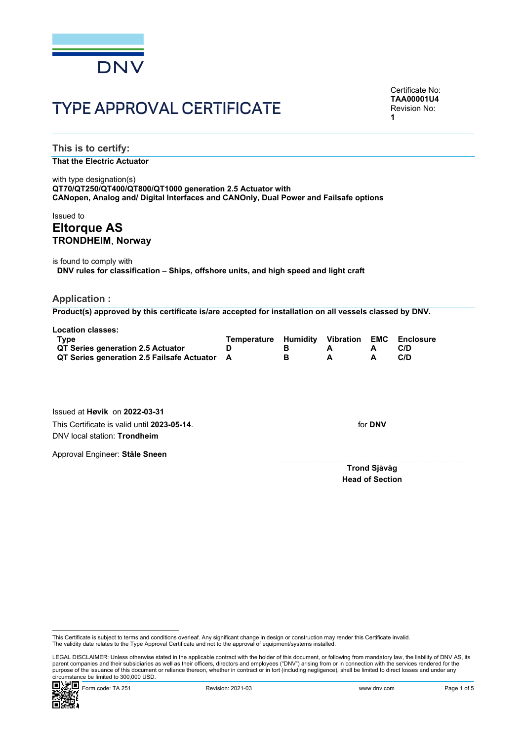

# TYPE APPROVAL CERTIFICATE

Certificate No: **TAA00001U4** Revision No: **1**

**This is to certify:**

## **That the Electric Actuator**

with type designation(s) **QT70/QT250/QT400/QT800/QT1000 generation 2.5 Actuator with CANopen, Analog and/ Digital Interfaces and CANOnly, Dual Power and Failsafe options**

# Issued to **Eltorque AS TRONDHEIM**, **Norway**

is found to comply with **DNV rules for classification – Ships, offshore units, and high speed and light craft**

#### **Application :**

**Product(s) approved by this certificate is/are accepted for installation on all vessels classed by DNV.**

| <b>Location classes:</b>                     |                                              |  |      |
|----------------------------------------------|----------------------------------------------|--|------|
| Tvpe                                         | Temperature Humidity Vibration EMC Enclosure |  |      |
| QT Series generation 2.5 Actuator            |                                              |  | C/D. |
| QT Series generation 2.5 Failsafe Actuator A |                                              |  | C/D  |

Issued at **Høvik** on **2022-03-31** This Certificate is valid until **2023-05-14**. DNV local station: **Trondheim**

Approval Engineer: **Ståle Sneen**

for **DNV**

 **Trond Sjåvåg Head of Section**

 LEGAL DISCLAIMER: Unless otherwise stated in the applicable contract with the holder of this document, or following from mandatory law, the liability of DNV AS, its parent companies and their subsidiaries as well as their officers, directors and employees ("DNV") arising from or in connection with the services rendered for the purpose of the issuance of this document or reliance thereon, whether in contract or in tort (including negligence), shall be limited to direct losses and under any circumstance be limited to 300,000 USD.



This Certificate is subject to terms and conditions overleaf. Any significant change in design or construction may render this Certificate invalid.<br>The validity date relates to the Type Approval Certificate and not to the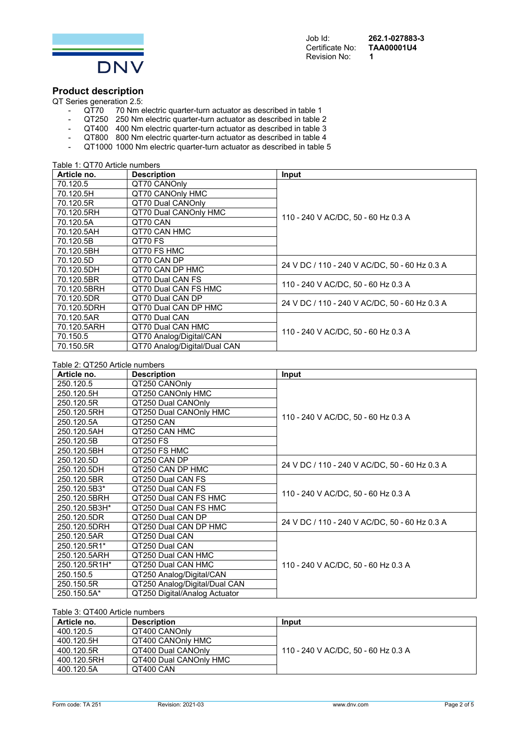

Certificate No: **T**<br>Revision No: **1 Revision No:** 

Job Id: **262.1-027883-3** 

# **Product description**

QT Series generation 2.5:<br>QT70 70 Nm e

- QT70 70 Nm electric quarter-turn actuator as described in table 1
- QT250 250 Nm electric quarter-turn actuator as described in table 2
- QT400 400 Nm electric quarter-turn actuator as described in table 3
- QT800 800 Nm electric quarter-turn actuator as described in table 4
- QT1000 1000 Nm electric quarter-turn actuator as described in table 5

| Table 1: QT70 Article numbers |                              |                                               |
|-------------------------------|------------------------------|-----------------------------------------------|
| Article no.                   | <b>Description</b>           | Input                                         |
| 70.120.5                      | QT70 CANOnly                 |                                               |
| 70.120.5H                     | QT70 CANOnly HMC             |                                               |
| 70.120.5R                     | QT70 Dual CANOnly            |                                               |
| 70.120.5RH                    | QT70 Dual CANOnly HMC        | 110 - 240 V AC/DC, 50 - 60 Hz 0.3 A           |
| 70.120.5A                     | QT70 CAN                     |                                               |
| 70.120.5AH                    | QT70 CAN HMC                 |                                               |
| 70.120.5B                     | QT70 FS                      |                                               |
| 70.120.5BH                    | QT70 FS HMC                  |                                               |
| 70.120.5D                     | QT70 CAN DP                  |                                               |
| 70.120.5DH                    | QT70 CAN DP HMC              | 24 V DC / 110 - 240 V AC/DC, 50 - 60 Hz 0.3 A |
| 70.120.5BR                    | QT70 Dual CAN FS             |                                               |
| 70.120.5BRH                   | QT70 Dual CAN FS HMC         | 110 - 240 V AC/DC, 50 - 60 Hz 0.3 A           |
| 70.120.5DR                    | QT70 Dual CAN DP             |                                               |
| 70.120.5DRH                   | QT70 Dual CAN DP HMC         | 24 V DC / 110 - 240 V AC/DC, 50 - 60 Hz 0.3 A |
| 70.120.5AR                    | QT70 Dual CAN                |                                               |
| 70.120.5ARH                   | QT70 Dual CAN HMC            |                                               |
| 70.150.5                      | QT70 Analog/Digital/CAN      | 110 - 240 V AC/DC, 50 - 60 Hz 0.3 A           |
| 70.150.5R                     | QT70 Analog/Digital/Dual CAN |                                               |

#### Table 2: QT250 Article numbers

| Table 2: QTZ50 Article numbers |                               |                                               |  |
|--------------------------------|-------------------------------|-----------------------------------------------|--|
| Article no.                    | <b>Description</b>            | Input                                         |  |
| 250.120.5                      | QT250 CANOnly                 |                                               |  |
| 250.120.5H                     | QT250 CANOnly HMC             |                                               |  |
| 250.120.5R                     | QT250 Dual CANOnly            |                                               |  |
| 250.120.5RH                    | QT250 Dual CANOnly HMC        |                                               |  |
| 250.120.5A                     | QT250 CAN                     | 110 - 240 V AC/DC, 50 - 60 Hz 0.3 A           |  |
| 250.120.5AH                    | QT250 CAN HMC                 |                                               |  |
| 250.120.5B                     | QT250 FS                      |                                               |  |
| 250.120.5BH                    | QT250 FS HMC                  |                                               |  |
| 250.120.5D                     | QT250 CAN DP                  | 24 V DC / 110 - 240 V AC/DC, 50 - 60 Hz 0.3 A |  |
| 250.120.5DH                    | QT250 CAN DP HMC              |                                               |  |
| 250.120.5BR                    | QT250 Dual CAN FS             |                                               |  |
| 250.120.5B3*                   | QT250 Dual CAN FS             |                                               |  |
| 250.120.5BRH                   | QT250 Dual CAN FS HMC         | 110 - 240 V AC/DC, 50 - 60 Hz 0.3 A           |  |
| 250.120.5B3H*                  | QT250 Dual CAN FS HMC         |                                               |  |
| 250.120.5DR                    | QT250 Dual CAN DP             | 24 V DC / 110 - 240 V AC/DC, 50 - 60 Hz 0.3 A |  |
| 250.120.5DRH                   | QT250 Dual CAN DP HMC         |                                               |  |
| 250.120.5AR                    | QT250 Dual CAN                |                                               |  |
| 250.120.5R1*                   | QT250 Dual CAN                |                                               |  |
| 250.120.5ARH                   | QT250 Dual CAN HMC            |                                               |  |
| 250.120.5R1H*                  | QT250 Dual CAN HMC            | 110 - 240 V AC/DC, 50 - 60 Hz 0.3 A           |  |
| 250.150.5                      | QT250 Analog/Digital/CAN      |                                               |  |
| 250.150.5R                     | QT250 Analog/Digital/Dual CAN |                                               |  |
| 250.150.5A*                    | QT250 Digital/Analog Actuator |                                               |  |

## Table 3: QT400 Article numbers

| Article no. | <b>Description</b>     | Input                               |
|-------------|------------------------|-------------------------------------|
| 400.120.5   | QT400 CANOnly          |                                     |
| 400.120.5H  | QT400 CANOnly HMC      |                                     |
| 400.120.5R  | QT400 Dual CANOnly     | 110 - 240 V AC/DC, 50 - 60 Hz 0.3 A |
| 400.120.5RH | QT400 Dual CANOnly HMC |                                     |
| 400.120.5A  | QT400 CAN              |                                     |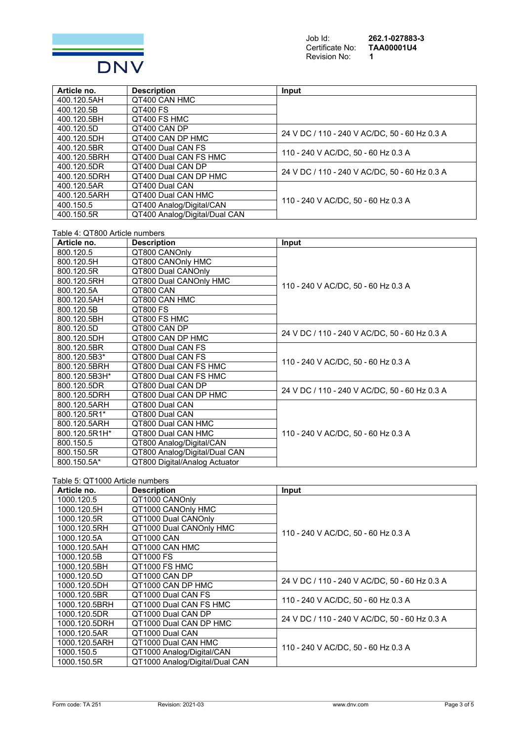

Certificate No: **TAA00001U4** Revision No: **1** 

Job Id: **262.1-027883-3** 

| Article no.  | <b>Description</b>            | Input                                         |
|--------------|-------------------------------|-----------------------------------------------|
| 400.120.5AH  | QT400 CAN HMC                 |                                               |
| 400.120.5B   | <b>QT400 FS</b>               |                                               |
| 400.120.5BH  | QT400 FS HMC                  |                                               |
| 400.120.5D   | OT400 CAN DP                  | 24 V DC / 110 - 240 V AC/DC, 50 - 60 Hz 0.3 A |
| 400.120.5DH  | QT400 CAN DP HMC              |                                               |
| 400.120.5BR  | QT400 Dual CAN FS             | 110 - 240 V AC/DC, 50 - 60 Hz 0.3 A           |
| 400.120.5BRH | QT400 Dual CAN FS HMC         |                                               |
| 400.120.5DR  | QT400 Dual CAN DP             | 24 V DC / 110 - 240 V AC/DC, 50 - 60 Hz 0.3 A |
| 400.120.5DRH | QT400 Dual CAN DP HMC         |                                               |
| 400.120.5AR  | QT400 Dual CAN                |                                               |
| 400.120.5ARH | QT400 Dual CAN HMC            | 110 - 240 V AC/DC, 50 - 60 Hz 0.3 A           |
| 400.150.5    | QT400 Analog/Digital/CAN      |                                               |
| 400.150.5R   | QT400 Analog/Digital/Dual CAN |                                               |

Table 4: QT800 Article numbers

| Article no.   | <b>Description</b>            | Input                                         |
|---------------|-------------------------------|-----------------------------------------------|
| 800.120.5     | QT800 CANOnly                 |                                               |
| 800.120.5H    | QT800 CANOnly HMC             |                                               |
| 800.120.5R    | QT800 Dual CANOnly            |                                               |
| 800.120.5RH   | QT800 Dual CANOnly HMC        |                                               |
| 800.120.5A    | QT800 CAN                     | 110 - 240 V AC/DC, 50 - 60 Hz 0.3 A           |
| 800.120.5AH   | QT800 CAN HMC                 |                                               |
| 800.120.5B    | QT800 FS                      |                                               |
| 800.120.5BH   | QT800 FS HMC                  |                                               |
| 800.120.5D    | QT800 CAN DP                  |                                               |
| 800.120.5DH   | QT800 CAN DP HMC              | 24 V DC / 110 - 240 V AC/DC, 50 - 60 Hz 0.3 A |
| 800.120.5BR   | QT800 Dual CAN FS             |                                               |
| 800.120.5B3*  | QT800 Dual CAN FS             |                                               |
| 800.120.5BRH  | QT800 Dual CAN FS HMC         | 110 - 240 V AC/DC, 50 - 60 Hz 0.3 A           |
| 800.120.5B3H* | QT800 Dual CAN FS HMC         |                                               |
| 800.120.5DR   | QT800 Dual CAN DP             |                                               |
| 800.120.5DRH  | QT800 Dual CAN DP HMC         | 24 V DC / 110 - 240 V AC/DC, 50 - 60 Hz 0.3 A |
| 800.120.5ARH  | QT800 Dual CAN                |                                               |
| 800.120.5R1*  | QT800 Dual CAN                |                                               |
| 800.120.5ARH  | QT800 Dual CAN HMC            |                                               |
| 800.120.5R1H* | QT800 Dual CAN HMC            | 110 - 240 V AC/DC, 50 - 60 Hz 0.3 A           |
| 800.150.5     | QT800 Analog/Digital/CAN      |                                               |
| 800.150.5R    | QT800 Analog/Digital/Dual CAN |                                               |
| 800.150.5A*   | QT800 Digital/Analog Actuator |                                               |

| Article no.   | <b>Description</b>             | Input                                         |
|---------------|--------------------------------|-----------------------------------------------|
| 1000.120.5    | QT1000 CANOnly                 |                                               |
| 1000.120.5H   | QT1000 CANOnly HMC             |                                               |
| 1000.120.5R   | QT1000 Dual CANOnly            |                                               |
| 1000.120.5RH  | QT1000 Dual CANOnly HMC        | 110 - 240 V AC/DC, 50 - 60 Hz 0.3 A           |
| 1000.120.5A   | QT1000 CAN                     |                                               |
| 1000.120.5AH  | QT1000 CAN HMC                 |                                               |
| 1000.120.5B   | QT1000 FS                      |                                               |
| 1000.120.5BH  | QT1000 FS HMC                  |                                               |
| 1000.120.5D   | QT1000 CAN DP                  | 24 V DC / 110 - 240 V AC/DC, 50 - 60 Hz 0.3 A |
| 1000.120.5DH  | QT1000 CAN DP HMC              |                                               |
| 1000.120.5BR  | QT1000 Dual CAN FS             | 110 - 240 V AC/DC, 50 - 60 Hz 0.3 A           |
| 1000.120.5BRH | QT1000 Dual CAN FS HMC         |                                               |
| 1000.120.5DR  | QT1000 Dual CAN DP             | 24 V DC / 110 - 240 V AC/DC, 50 - 60 Hz 0.3 A |
| 1000.120.5DRH | QT1000 Dual CAN DP HMC         |                                               |
| 1000.120.5AR  | QT1000 Dual CAN                |                                               |
| 1000.120.5ARH | QT1000 Dual CAN HMC            |                                               |
| 1000.150.5    | QT1000 Analog/Digital/CAN      | 110 - 240 V AC/DC, 50 - 60 Hz 0.3 A           |
| 1000.150.5R   | QT1000 Analog/Digital/Dual CAN |                                               |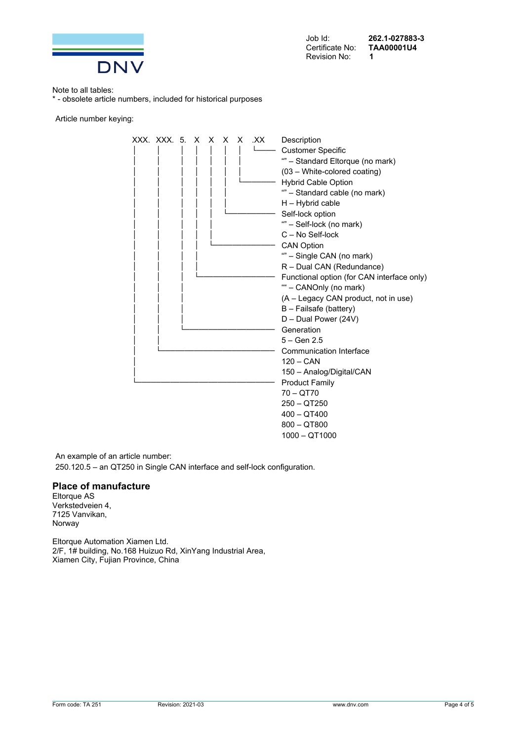

Job Id: **262.1-027883-3**  Certificate No: **TAA00001U4**

Note to all tables:

\* - obsolete article numbers, included for historical purposes

Article number keying:

XXX. XXX. 5. X X X X .XX Description Customer Specific "" – Standard Eltorque (no mark) (03 – White-colored coating) Hybrid Cable Option "" – Standard cable (no mark) H – Hybrid cable Self-lock option <sup>""</sup> – Self-lock (no mark) C – No Self-lock CAN Option "" – Single CAN (no mark) R – Dual CAN (Redundance) Functional option (for CAN interface only) "" – CANOnly (no mark) (A – Legacy CAN product, not in use) B – Failsafe (battery) D – Dual Power (24V) Generation  $5 -$  Gen 2.5 Communication Interface  $120 - CAN$ 150 – Analog/Digital/CAN Product Family 70 – QT70 250 – QT250 400 – QT400 800 – QT800 1000 – QT1000

An example of an article number:

250.120.5 – an QT250 in Single CAN interface and self-lock configuration.

#### **Place of manufacture**

Eltorque AS Verkstedveien 4, 7125 Vanvikan, Norway

Eltorque Automation Xiamen Ltd. 2/F, 1# building, No.168 Huizuo Rd, XinYang Industrial Area, Xiamen City, Fujian Province, China